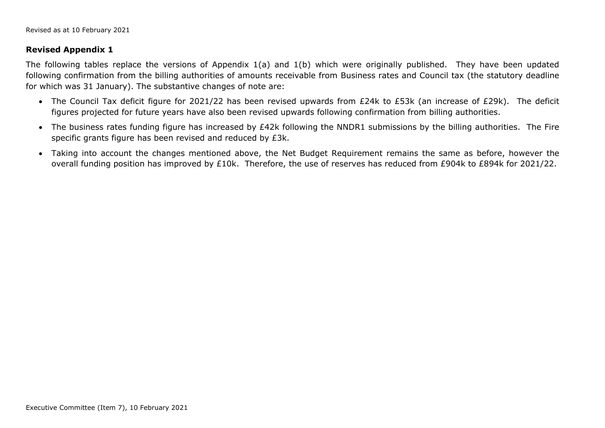## **Revised Appendix 1**

The following tables replace the versions of Appendix 1(a) and 1(b) which were originally published. They have been updated following confirmation from the billing authorities of amounts receivable from Business rates and Council tax (the statutory deadline for which was 31 January). The substantive changes of note are:

- The Council Tax deficit figure for 2021/22 has been revised upwards from £24k to £53k (an increase of £29k). The deficit figures projected for future years have also been revised upwards following confirmation from billing authorities.
- The business rates funding figure has increased by £42k following the NNDR1 submissions by the billing authorities. The Fire specific grants figure has been revised and reduced by £3k.
- Taking into account the changes mentioned above, the Net Budget Requirement remains the same as before, however the overall funding position has improved by £10k. Therefore, the use of reserves has reduced from £904k to £894k for 2021/22.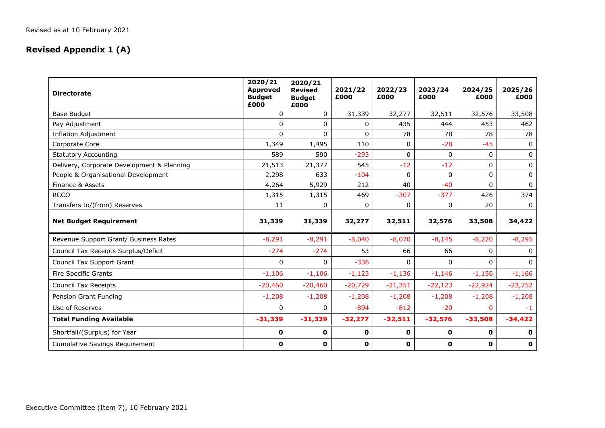## **Revised Appendix 1 (A)**

| <b>Directorate</b>                         | 2020/21<br><b>Approved</b><br><b>Budget</b><br>£000 | 2020/21<br>2021/22<br><b>Revised</b><br>£000<br><b>Budget</b><br>£000 |              | 2022/23<br>£000 | 2023/24<br>£000 | 2024/25<br>£000 | 2025/26<br>£000 |
|--------------------------------------------|-----------------------------------------------------|-----------------------------------------------------------------------|--------------|-----------------|-----------------|-----------------|-----------------|
| <b>Base Budget</b>                         | $\Omega$                                            | $\Omega$                                                              | 31,339       | 32,277          | 32,511          | 32,576          | 33,508          |
| Pay Adjustment                             | 0                                                   | 0                                                                     | 0            | 435             | 444             | 453             | 462             |
| <b>Inflation Adjustment</b>                | $\Omega$                                            | $\Omega$                                                              | $\mathbf{0}$ | 78              | 78              | 78              | 78              |
| Corporate Core                             | 1,349                                               | 1,495                                                                 | 110          | 0               | $-28$           | $-45$           | 0               |
| <b>Statutory Accounting</b>                | 589                                                 | 590                                                                   | $-293$       | $\Omega$        | $\mathbf{0}$    | 0               | 0               |
| Delivery, Corporate Development & Planning | 21,513                                              | 21,377                                                                | 545          | $-12$           | $-12$           | 0               | 0               |
| People & Organisational Development        | 2,298                                               | 633                                                                   | $-104$       | 0               | $\Omega$        | $\Omega$        | $\mathbf 0$     |
| Finance & Assets                           | 4,264                                               | 5,929                                                                 | 212          | 40              | $-40$           | $\Omega$        | $\Omega$        |
| <b>RCCO</b>                                | 1,315                                               | 1,315                                                                 | 469          | $-307$          | $-377$          | 426             | 374             |
| Transfers to/(from) Reserves               | 11                                                  | 0                                                                     | $\mathbf{0}$ | $\Omega$        | 0               | 20              | $\mathbf{0}$    |
| <b>Net Budget Requirement</b>              | 31,339                                              | 31,339                                                                | 32,277       | 32,511          | 32,576          | 33,508          | 34,422          |
| Revenue Support Grant/ Business Rates      | $-8,291$                                            | $-8,291$                                                              | $-8,040$     | $-8,070$        | $-8,145$        | $-8,220$        | $-8,295$        |
| Council Tax Receipts Surplus/Deficit       | $-274$                                              | $-274$                                                                | 53           | 66              | 66              | $\Omega$        | $\Omega$        |
| Council Tax Support Grant                  | $\Omega$                                            | $\Omega$                                                              | $-336$       | $\Omega$        | $\Omega$        | $\Omega$        | $\Omega$        |
| <b>Fire Specific Grants</b>                | $-1,106$                                            | $-1,106$                                                              | $-1,123$     | $-1,136$        | $-1,146$        | $-1,156$        | $-1,166$        |
| <b>Council Tax Receipts</b>                | $-20,460$                                           | $-20,460$                                                             | $-20,729$    | $-21,351$       | $-22,123$       | $-22,924$       | $-23,752$       |
| Pension Grant Funding                      | $-1,208$                                            | $-1,208$                                                              | $-1,208$     | $-1,208$        | $-1,208$        | $-1,208$        | $-1,208$        |
| Use of Reserves                            | 0                                                   | 0                                                                     | $-894$       | $-812$          | $-20$           | <sup>n</sup>    | -1              |
| <b>Total Funding Available</b>             | $-31,339$                                           | $-31,339$                                                             | $-32,277$    | $-32,511$       | $-32,576$       | $-33,508$       | $-34,422$       |
| Shortfall/(Surplus) for Year               | 0                                                   | 0                                                                     | $\mathbf 0$  | 0               | 0               | 0               | 0               |
| <b>Cumulative Savings Requirement</b>      | $\mathbf 0$                                         | 0                                                                     | $\mathbf 0$  | 0               | $\mathbf 0$     | 0               | 0               |